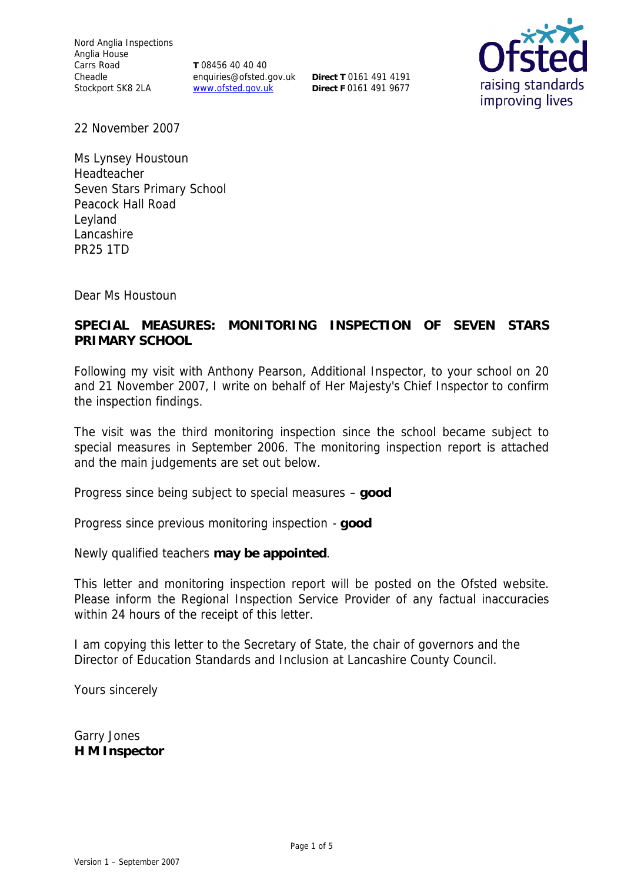Nord Anglia Inspections Anglia House Carrs Road Cheadle Stockport SK8 2LA

**T** 08456 40 40 40 enquiries@ofsted.gov.uk **Direct T** 0161 491 4191 www.ofsted.gov.uk

**Direct F** 0161 491 9677



22 November 2007

Ms Lynsey Houstoun Headteacher Seven Stars Primary School Peacock Hall Road Leyland Lancashire PR25 1TD

Dear Ms Houstoun

**SPECIAL MEASURES: MONITORING INSPECTION OF SEVEN STARS PRIMARY SCHOOL** 

Following my visit with Anthony Pearson, Additional Inspector, to your school on 20 and 21 November 2007, I write on behalf of Her Majesty's Chief Inspector to confirm the inspection findings.

The visit was the third monitoring inspection since the school became subject to special measures in September 2006. The monitoring inspection report is attached and the main judgements are set out below.

Progress since being subject to special measures – **good**

Progress since previous monitoring inspection - **good**

Newly qualified teachers **may be appointed**.

This letter and monitoring inspection report will be posted on the Ofsted website. Please inform the Regional Inspection Service Provider of any factual inaccuracies within 24 hours of the receipt of this letter.

I am copying this letter to the Secretary of State, the chair of governors and the Director of Education Standards and Inclusion at Lancashire County Council.

Yours sincerely

Garry Jones **H M Inspector**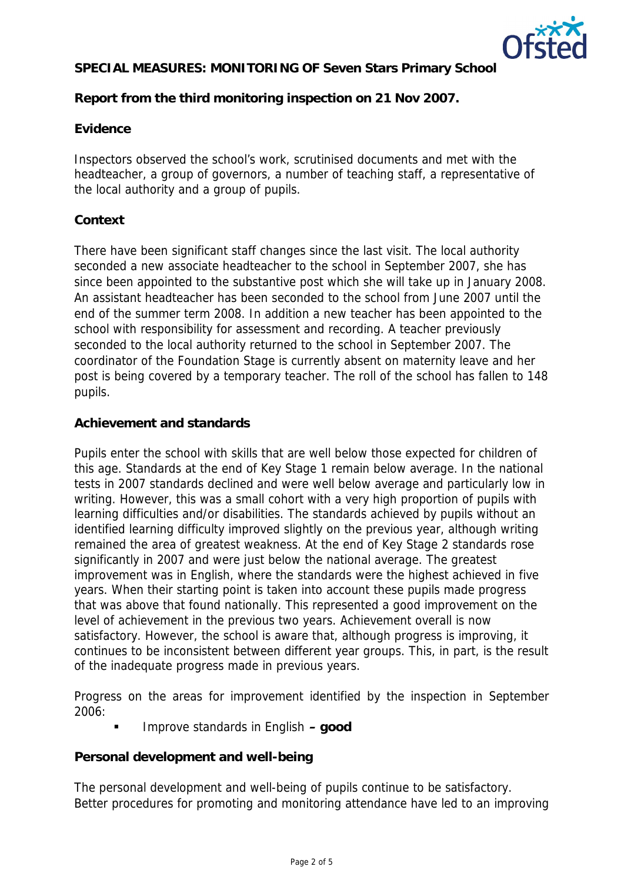

**Report from the third monitoring inspection on 21 Nov 2007.**

### **Evidence**

Inspectors observed the school's work, scrutinised documents and met with the headteacher, a group of governors, a number of teaching staff, a representative of the local authority and a group of pupils.

## **Context**

There have been significant staff changes since the last visit. The local authority seconded a new associate headteacher to the school in September 2007, she has since been appointed to the substantive post which she will take up in January 2008. An assistant headteacher has been seconded to the school from June 2007 until the end of the summer term 2008. In addition a new teacher has been appointed to the school with responsibility for assessment and recording. A teacher previously seconded to the local authority returned to the school in September 2007. The coordinator of the Foundation Stage is currently absent on maternity leave and her post is being covered by a temporary teacher. The roll of the school has fallen to 148 pupils.

### **Achievement and standards**

Pupils enter the school with skills that are well below those expected for children of this age. Standards at the end of Key Stage 1 remain below average. In the national tests in 2007 standards declined and were well below average and particularly low in writing. However, this was a small cohort with a very high proportion of pupils with learning difficulties and/or disabilities. The standards achieved by pupils without an identified learning difficulty improved slightly on the previous year, although writing remained the area of greatest weakness. At the end of Key Stage 2 standards rose significantly in 2007 and were just below the national average. The greatest improvement was in English, where the standards were the highest achieved in five years. When their starting point is taken into account these pupils made progress that was above that found nationally. This represented a good improvement on the level of achievement in the previous two years. Achievement overall is now satisfactory. However, the school is aware that, although progress is improving, it continues to be inconsistent between different year groups. This, in part, is the result of the inadequate progress made in previous years.

Progress on the areas for improvement identified by the inspection in September 2006:

Improve standards in English **– good**

**Personal development and well-being**

The personal development and well-being of pupils continue to be satisfactory. Better procedures for promoting and monitoring attendance have led to an improving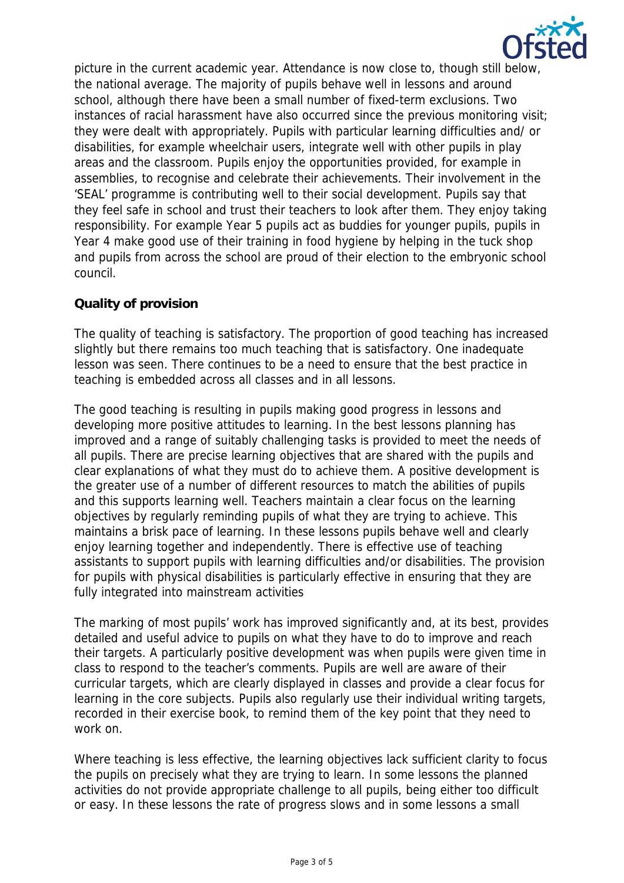

picture in the current academic year. Attendance is now close to, though still below, the national average. The majority of pupils behave well in lessons and around school, although there have been a small number of fixed-term exclusions. Two instances of racial harassment have also occurred since the previous monitoring visit; they were dealt with appropriately. Pupils with particular learning difficulties and/ or disabilities, for example wheelchair users, integrate well with other pupils in play areas and the classroom. Pupils enjoy the opportunities provided, for example in assemblies, to recognise and celebrate their achievements. Their involvement in the 'SEAL' programme is contributing well to their social development. Pupils say that they feel safe in school and trust their teachers to look after them. They enjoy taking responsibility. For example Year 5 pupils act as buddies for younger pupils, pupils in Year 4 make good use of their training in food hygiene by helping in the tuck shop and pupils from across the school are proud of their election to the embryonic school council.

### **Quality of provision**

The quality of teaching is satisfactory. The proportion of good teaching has increased slightly but there remains too much teaching that is satisfactory. One inadequate lesson was seen. There continues to be a need to ensure that the best practice in teaching is embedded across all classes and in all lessons.

The good teaching is resulting in pupils making good progress in lessons and developing more positive attitudes to learning. In the best lessons planning has improved and a range of suitably challenging tasks is provided to meet the needs of all pupils. There are precise learning objectives that are shared with the pupils and clear explanations of what they must do to achieve them. A positive development is the greater use of a number of different resources to match the abilities of pupils and this supports learning well. Teachers maintain a clear focus on the learning objectives by regularly reminding pupils of what they are trying to achieve. This maintains a brisk pace of learning. In these lessons pupils behave well and clearly enjoy learning together and independently. There is effective use of teaching assistants to support pupils with learning difficulties and/or disabilities. The provision for pupils with physical disabilities is particularly effective in ensuring that they are fully integrated into mainstream activities

The marking of most pupils' work has improved significantly and, at its best, provides detailed and useful advice to pupils on what they have to do to improve and reach their targets. A particularly positive development was when pupils were given time in class to respond to the teacher's comments. Pupils are well are aware of their curricular targets, which are clearly displayed in classes and provide a clear focus for learning in the core subjects. Pupils also regularly use their individual writing targets, recorded in their exercise book, to remind them of the key point that they need to work on.

Where teaching is less effective, the learning objectives lack sufficient clarity to focus the pupils on precisely what they are trying to learn. In some lessons the planned activities do not provide appropriate challenge to all pupils, being either too difficult or easy. In these lessons the rate of progress slows and in some lessons a small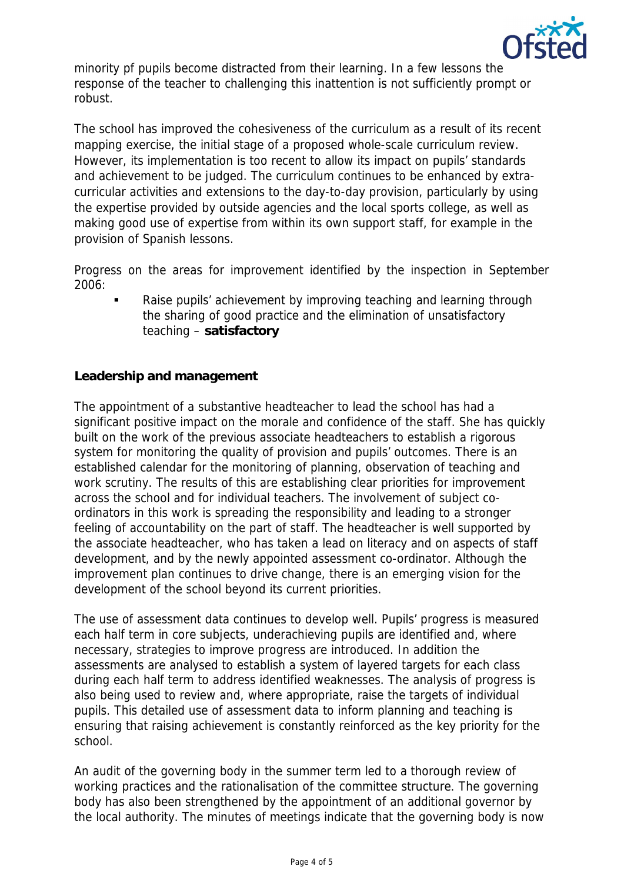

minority pf pupils become distracted from their learning. In a few lessons the response of the teacher to challenging this inattention is not sufficiently prompt or robust.

The school has improved the cohesiveness of the curriculum as a result of its recent mapping exercise, the initial stage of a proposed whole-scale curriculum review. However, its implementation is too recent to allow its impact on pupils' standards and achievement to be judged. The curriculum continues to be enhanced by extracurricular activities and extensions to the day-to-day provision, particularly by using the expertise provided by outside agencies and the local sports college, as well as making good use of expertise from within its own support staff, for example in the provision of Spanish lessons.

Progress on the areas for improvement identified by the inspection in September 2006:

 Raise pupils' achievement by improving teaching and learning through the sharing of good practice and the elimination of unsatisfactory teaching – **satisfactory**

### **Leadership and management**

The appointment of a substantive headteacher to lead the school has had a significant positive impact on the morale and confidence of the staff. She has quickly built on the work of the previous associate headteachers to establish a rigorous system for monitoring the quality of provision and pupils' outcomes. There is an established calendar for the monitoring of planning, observation of teaching and work scrutiny. The results of this are establishing clear priorities for improvement across the school and for individual teachers. The involvement of subject coordinators in this work is spreading the responsibility and leading to a stronger feeling of accountability on the part of staff. The headteacher is well supported by the associate headteacher, who has taken a lead on literacy and on aspects of staff development, and by the newly appointed assessment co-ordinator. Although the improvement plan continues to drive change, there is an emerging vision for the development of the school beyond its current priorities.

The use of assessment data continues to develop well. Pupils' progress is measured each half term in core subjects, underachieving pupils are identified and, where necessary, strategies to improve progress are introduced. In addition the assessments are analysed to establish a system of layered targets for each class during each half term to address identified weaknesses. The analysis of progress is also being used to review and, where appropriate, raise the targets of individual pupils. This detailed use of assessment data to inform planning and teaching is ensuring that raising achievement is constantly reinforced as the key priority for the school.

An audit of the governing body in the summer term led to a thorough review of working practices and the rationalisation of the committee structure. The governing body has also been strengthened by the appointment of an additional governor by the local authority. The minutes of meetings indicate that the governing body is now